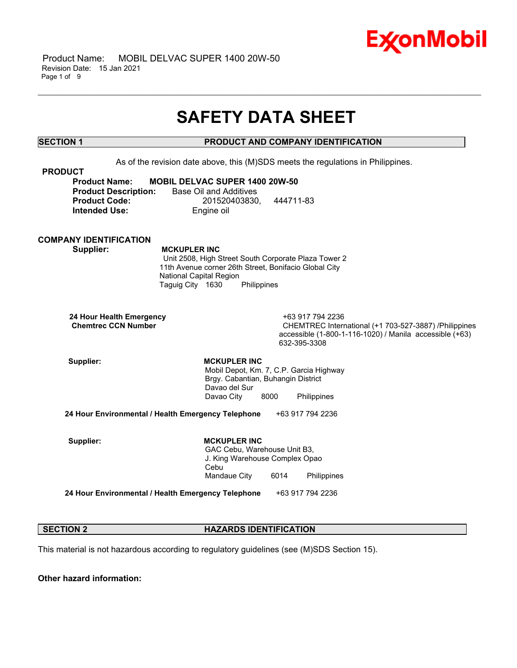

 Product Name: MOBIL DELVAC SUPER 1400 20W-50 Revision Date: 15 Jan 2021 Page 1 of 9

## **SAFETY DATA SHEET**

\_\_\_\_\_\_\_\_\_\_\_\_\_\_\_\_\_\_\_\_\_\_\_\_\_\_\_\_\_\_\_\_\_\_\_\_\_\_\_\_\_\_\_\_\_\_\_\_\_\_\_\_\_\_\_\_\_\_\_\_\_\_\_\_\_\_\_\_\_\_\_\_\_\_\_\_\_\_\_\_\_\_\_\_\_\_\_\_\_\_\_\_\_\_\_\_\_\_\_\_\_\_\_\_\_\_\_\_\_\_\_\_\_\_\_\_\_\_

## **SECTION 1 PRODUCT AND COMPANY IDENTIFICATION**

As of the revision date above, this (M)SDS meets the regulations in Philippines.

| <b>PRODUCT</b>              |                                       |           |
|-----------------------------|---------------------------------------|-----------|
| <b>Product Name:</b>        | <b>MOBIL DELVAC SUPER 1400 20W-50</b> |           |
| <b>Product Description:</b> | Base Oil and Additives                |           |
| <b>Product Code:</b>        | 201520403830.                         | 444711-83 |
| <b>Intended Use:</b>        | Engine oil                            |           |

#### **COMPANY IDENTIFICATION**

 **Supplier: MCKUPLER INC**

 Unit 2508, High Street South Corporate Plaza Tower 2 11th Avenue corner 26th Street, Bonifacio Global City National Capital Region Taguig City 1630 Philippines

 **24 Hour Health Emergency** +63 917 794 2236

CHEMTREC International (+1 703-527-3887) /Philippines accessible (1-800-1-116-1020) / Manila accessible (+63) 632-395-3308

Supplier: **MCKUPLER INC**  Mobil Depot, Km. 7, C.P. Garcia Highway Brgy. Cabantian, Buhangin District Davao del Sur Davao City 8000 Philippines

**24 Hour Environmental / Health Emergency Telephone** +63 917 794 2236

Supplier: **MCKUPLER INC**  GAC Cebu, Warehouse Unit B3, J. King Warehouse Complex Opao Cebu Mandaue City 6014 Philippines

**24 Hour Environmental / Health Emergency Telephone** +63 917 794 2236

#### **SECTION 2 HAZARDS IDENTIFICATION**

This material is not hazardous according to regulatory guidelines (see (M)SDS Section 15).

**Other hazard information:**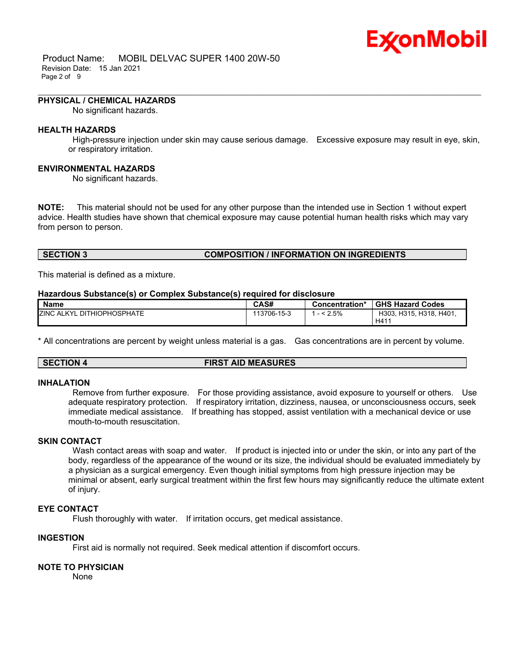## Ex⁄onMobil

 Product Name: MOBIL DELVAC SUPER 1400 20W-50 Revision Date: 15 Jan 2021 Page 2 of 9

#### **PHYSICAL / CHEMICAL HAZARDS**

No significant hazards.

#### **HEALTH HAZARDS**

 High-pressure injection under skin may cause serious damage. Excessive exposure may result in eye, skin, or respiratory irritation.

\_\_\_\_\_\_\_\_\_\_\_\_\_\_\_\_\_\_\_\_\_\_\_\_\_\_\_\_\_\_\_\_\_\_\_\_\_\_\_\_\_\_\_\_\_\_\_\_\_\_\_\_\_\_\_\_\_\_\_\_\_\_\_\_\_\_\_\_\_\_\_\_\_\_\_\_\_\_\_\_\_\_\_\_\_\_\_\_\_\_\_\_\_\_\_\_\_\_\_\_\_\_\_\_\_\_\_\_\_\_\_\_\_\_\_\_\_\_

#### **ENVIRONMENTAL HAZARDS**

No significant hazards.

**NOTE:** This material should not be used for any other purpose than the intended use in Section 1 without expert advice. Health studies have shown that chemical exposure may cause potential human health risks which may vary from person to person.

#### **SECTION 3 COMPOSITION / INFORMATION ON INGREDIENTS**

This material is defined as a mixture.

#### **Hazardous Substance(s) or Complex Substance(s) required for disclosure**

| <b>Name</b>                            | CAS#        | <b>Concentration*</b> | <b>GHS Hazard Codes</b>    |
|----------------------------------------|-------------|-----------------------|----------------------------|
| <b>ZINC</b><br>: ALKYL DITHIOPHOSPHATE | 113706-15-3 | 2.5%                  | H303.<br>H315, H318, H401, |
|                                        |             |                       | H41                        |

\* All concentrations are percent by weight unless material is a gas. Gas concentrations are in percent by volume.

**SECTION 4 FIRST AID MEASURES**

#### **INHALATION**

 Remove from further exposure. For those providing assistance, avoid exposure to yourself or others. Use adequate respiratory protection. If respiratory irritation, dizziness, nausea, or unconsciousness occurs, seek immediate medical assistance. If breathing has stopped, assist ventilation with a mechanical device or use mouth-to-mouth resuscitation.

#### **SKIN CONTACT**

Wash contact areas with soap and water. If product is injected into or under the skin, or into any part of the body, regardless of the appearance of the wound or its size, the individual should be evaluated immediately by a physician as a surgical emergency. Even though initial symptoms from high pressure injection may be minimal or absent, early surgical treatment within the first few hours may significantly reduce the ultimate extent of injury.

#### **EYE CONTACT**

Flush thoroughly with water. If irritation occurs, get medical assistance.

## **INGESTION**

First aid is normally not required. Seek medical attention if discomfort occurs.

## **NOTE TO PHYSICIAN**

None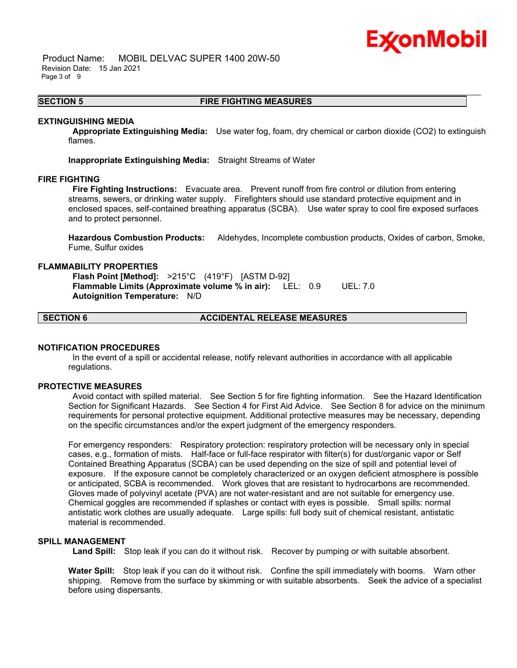## Ex⁄onMobil

 Product Name: MOBIL DELVAC SUPER 1400 20W-50 Revision Date: 15 Jan 2021 Page 3 of 9

#### **SECTION 5 FIRE FIGHTING MEASURES**

\_\_\_\_\_\_\_\_\_\_\_\_\_\_\_\_\_\_\_\_\_\_\_\_\_\_\_\_\_\_\_\_\_\_\_\_\_\_\_\_\_\_\_\_\_\_\_\_\_\_\_\_\_\_\_\_\_\_\_\_\_\_\_\_\_\_\_\_\_\_\_\_\_\_\_\_\_\_\_\_\_\_\_\_\_\_\_\_\_\_\_\_\_\_\_\_\_\_\_\_\_\_\_\_\_\_\_\_\_\_\_\_\_\_\_\_\_\_

#### **EXTINGUISHING MEDIA**

 **Appropriate Extinguishing Media:** Use water fog, foam, dry chemical or carbon dioxide (CO2) to extinguish flames.

**Inappropriate Extinguishing Media:** Straight Streams of Water

#### **FIRE FIGHTING**

 **Fire Fighting Instructions:** Evacuate area. Prevent runoff from fire control or dilution from entering streams, sewers, or drinking water supply. Firefighters should use standard protective equipment and in enclosed spaces, self-contained breathing apparatus (SCBA). Use water spray to cool fire exposed surfaces and to protect personnel.

**Hazardous Combustion Products:** Aldehydes, Incomplete combustion products, Oxides of carbon, Smoke, Fume, Sulfur oxides

#### **FLAMMABILITY PROPERTIES**

 **Flash Point [Method]:** >215°C (419°F) [ASTM D-92]  **Flammable Limits (Approximate volume % in air):** LEL: 0.9 UEL: 7.0  **Autoignition Temperature:** N/D

## **SECTION 6 ACCIDENTAL RELEASE MEASURES**

#### **NOTIFICATION PROCEDURES**

 In the event of a spill or accidental release, notify relevant authorities in accordance with all applicable regulations.

#### **PROTECTIVE MEASURES**

 Avoid contact with spilled material. See Section 5 for fire fighting information. See the Hazard Identification Section for Significant Hazards. See Section 4 for First Aid Advice. See Section 8 for advice on the minimum requirements for personal protective equipment. Additional protective measures may be necessary, depending on the specific circumstances and/or the expert judgment of the emergency responders.

For emergency responders: Respiratory protection: respiratory protection will be necessary only in special cases, e.g., formation of mists. Half-face or full-face respirator with filter(s) for dust/organic vapor or Self Contained Breathing Apparatus (SCBA) can be used depending on the size of spill and potential level of exposure. If the exposure cannot be completely characterized or an oxygen deficient atmosphere is possible or anticipated, SCBA is recommended. Work gloves that are resistant to hydrocarbons are recommended. Gloves made of polyvinyl acetate (PVA) are not water-resistant and are not suitable for emergency use. Chemical goggles are recommended if splashes or contact with eyes is possible. Small spills: normal antistatic work clothes are usually adequate. Large spills: full body suit of chemical resistant, antistatic material is recommended.

#### **SPILL MANAGEMENT**

 **Land Spill:** Stop leak if you can do it without risk. Recover by pumping or with suitable absorbent.

**Water Spill:** Stop leak if you can do it without risk. Confine the spill immediately with booms. Warn other shipping. Remove from the surface by skimming or with suitable absorbents. Seek the advice of a specialist before using dispersants.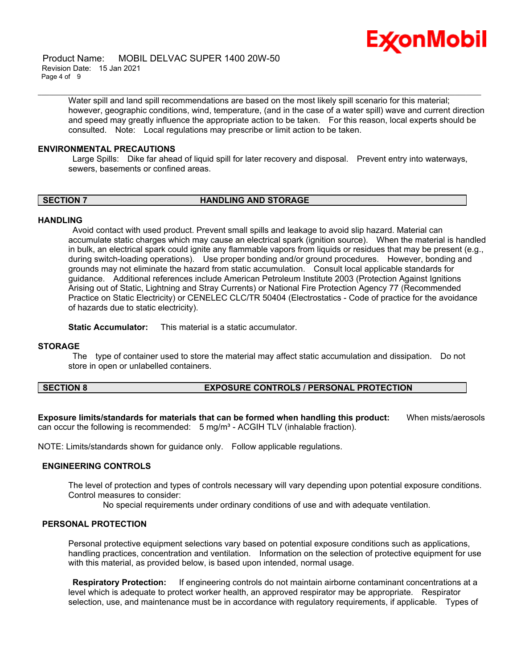

 Product Name: MOBIL DELVAC SUPER 1400 20W-50 Revision Date: 15 Jan 2021 Page 4 of 9

> Water spill and land spill recommendations are based on the most likely spill scenario for this material; however, geographic conditions, wind, temperature, (and in the case of a water spill) wave and current direction and speed may greatly influence the appropriate action to be taken. For this reason, local experts should be consulted. Note: Local regulations may prescribe or limit action to be taken.

\_\_\_\_\_\_\_\_\_\_\_\_\_\_\_\_\_\_\_\_\_\_\_\_\_\_\_\_\_\_\_\_\_\_\_\_\_\_\_\_\_\_\_\_\_\_\_\_\_\_\_\_\_\_\_\_\_\_\_\_\_\_\_\_\_\_\_\_\_\_\_\_\_\_\_\_\_\_\_\_\_\_\_\_\_\_\_\_\_\_\_\_\_\_\_\_\_\_\_\_\_\_\_\_\_\_\_\_\_\_\_\_\_\_\_\_\_\_

#### **ENVIRONMENTAL PRECAUTIONS**

 Large Spills: Dike far ahead of liquid spill for later recovery and disposal. Prevent entry into waterways, sewers, basements or confined areas.

#### **SECTION 7 HANDLING AND STORAGE**

#### **HANDLING**

 Avoid contact with used product. Prevent small spills and leakage to avoid slip hazard. Material can accumulate static charges which may cause an electrical spark (ignition source). When the material is handled in bulk, an electrical spark could ignite any flammable vapors from liquids or residues that may be present (e.g., during switch-loading operations). Use proper bonding and/or ground procedures. However, bonding and grounds may not eliminate the hazard from static accumulation. Consult local applicable standards for guidance. Additional references include American Petroleum Institute 2003 (Protection Against Ignitions Arising out of Static, Lightning and Stray Currents) or National Fire Protection Agency 77 (Recommended Practice on Static Electricity) or CENELEC CLC/TR 50404 (Electrostatics - Code of practice for the avoidance of hazards due to static electricity).

**Static Accumulator:** This material is a static accumulator.

#### **STORAGE**

 The type of container used to store the material may affect static accumulation and dissipation. Do not store in open or unlabelled containers.

#### **SECTION 8 EXPOSURE CONTROLS / PERSONAL PROTECTION**

**Exposure limits/standards for materials that can be formed when handling this product:** When mists/aerosols can occur the following is recommended:  $5 \text{ mg/m}^3$  - ACGIH TLV (inhalable fraction).

NOTE: Limits/standards shown for guidance only. Follow applicable regulations.

#### **ENGINEERING CONTROLS**

The level of protection and types of controls necessary will vary depending upon potential exposure conditions. Control measures to consider:

No special requirements under ordinary conditions of use and with adequate ventilation.

## **PERSONAL PROTECTION**

Personal protective equipment selections vary based on potential exposure conditions such as applications, handling practices, concentration and ventilation. Information on the selection of protective equipment for use with this material, as provided below, is based upon intended, normal usage.

 **Respiratory Protection:** If engineering controls do not maintain airborne contaminant concentrations at a level which is adequate to protect worker health, an approved respirator may be appropriate. Respirator selection, use, and maintenance must be in accordance with regulatory requirements, if applicable. Types of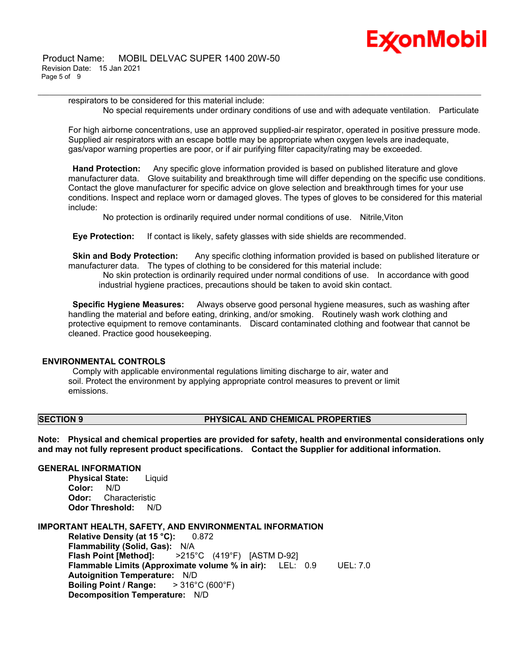# Ex⁄onMobil

respirators to be considered for this material include: No special requirements under ordinary conditions of use and with adequate ventilation. Particulate

\_\_\_\_\_\_\_\_\_\_\_\_\_\_\_\_\_\_\_\_\_\_\_\_\_\_\_\_\_\_\_\_\_\_\_\_\_\_\_\_\_\_\_\_\_\_\_\_\_\_\_\_\_\_\_\_\_\_\_\_\_\_\_\_\_\_\_\_\_\_\_\_\_\_\_\_\_\_\_\_\_\_\_\_\_\_\_\_\_\_\_\_\_\_\_\_\_\_\_\_\_\_\_\_\_\_\_\_\_\_\_\_\_\_\_\_\_\_

For high airborne concentrations, use an approved supplied-air respirator, operated in positive pressure mode. Supplied air respirators with an escape bottle may be appropriate when oxygen levels are inadequate, gas/vapor warning properties are poor, or if air purifying filter capacity/rating may be exceeded.

 **Hand Protection:** Any specific glove information provided is based on published literature and glove manufacturer data. Glove suitability and breakthrough time will differ depending on the specific use conditions. Contact the glove manufacturer for specific advice on glove selection and breakthrough times for your use conditions. Inspect and replace worn or damaged gloves. The types of gloves to be considered for this material include:

No protection is ordinarily required under normal conditions of use. Nitrile,Viton

 **Eye Protection:** If contact is likely, safety glasses with side shields are recommended.

**Skin and Body Protection:** Any specific clothing information provided is based on published literature or manufacturer data. The types of clothing to be considered for this material include:

 No skin protection is ordinarily required under normal conditions of use. In accordance with good industrial hygiene practices, precautions should be taken to avoid skin contact.

 **Specific Hygiene Measures:** Always observe good personal hygiene measures, such as washing after handling the material and before eating, drinking, and/or smoking. Routinely wash work clothing and protective equipment to remove contaminants. Discard contaminated clothing and footwear that cannot be cleaned. Practice good housekeeping.

## **ENVIRONMENTAL CONTROLS**

 Comply with applicable environmental regulations limiting discharge to air, water and soil. Protect the environment by applying appropriate control measures to prevent or limit emissions.

## **SECTION 9 PHYSICAL AND CHEMICAL PROPERTIES**

**Note: Physical and chemical properties are provided for safety, health and environmental considerations only and may not fully represent product specifications. Contact the Supplier for additional information.**

## **GENERAL INFORMATION**

**Physical State:** Liquid **Color:** N/D **Odor:** Characteristic **Odor Threshold:** N/D

**IMPORTANT HEALTH, SAFETY, AND ENVIRONMENTAL INFORMATION**

**Relative Density (at 15 °C):** 0.872 **Flammability (Solid, Gas):** N/A **Flash Point [Method]:** >215°C (419°F) [ASTM D-92] **Flammable Limits (Approximate volume % in air):** LEL: 0.9 UEL: 7.0 **Autoignition Temperature:** N/D **Boiling Point / Range:** > 316°C (600°F) **Decomposition Temperature:** N/D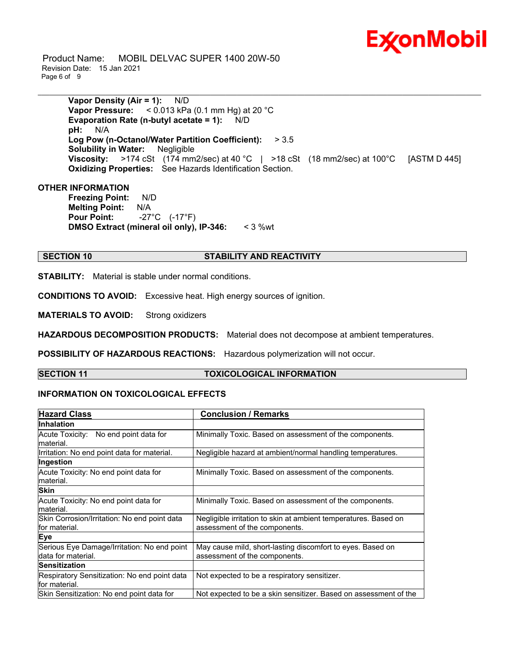

 Product Name: MOBIL DELVAC SUPER 1400 20W-50 Revision Date: 15 Jan 2021 Page 6 of 9

> **Vapor Density (Air = 1):** N/D **Vapor Pressure:** < 0.013 kPa (0.1 mm Hg) at 20 °C **Evaporation Rate (n-butyl acetate = 1):** N/D **pH:** N/A **Log Pow (n-Octanol/Water Partition Coefficient):** > 3.5 **Solubility in Water:** Negligible **Viscosity:** >174 cSt (174 mm2/sec) at 40 °C | >18 cSt (18 mm2/sec) at 100 °C [ASTM D 445] **Oxidizing Properties:** See Hazards Identification Section.

\_\_\_\_\_\_\_\_\_\_\_\_\_\_\_\_\_\_\_\_\_\_\_\_\_\_\_\_\_\_\_\_\_\_\_\_\_\_\_\_\_\_\_\_\_\_\_\_\_\_\_\_\_\_\_\_\_\_\_\_\_\_\_\_\_\_\_\_\_\_\_\_\_\_\_\_\_\_\_\_\_\_\_\_\_\_\_\_\_\_\_\_\_\_\_\_\_\_\_\_\_\_\_\_\_\_\_\_\_\_\_\_\_\_\_\_\_\_

#### **OTHER INFORMATION**

**Freezing Point:** N/D **Melting Point:** N/A **Pour Point:** -27°C (-17°F) **DMSO Extract (mineral oil only), IP-346:** < 3 %wt

#### **SECTION 10 STABILITY AND REACTIVITY**

**STABILITY:** Material is stable under normal conditions.

**CONDITIONS TO AVOID:** Excessive heat. High energy sources of ignition.

**MATERIALS TO AVOID:** Strong oxidizers

**HAZARDOUS DECOMPOSITION PRODUCTS:** Material does not decompose at ambient temperatures.

**POSSIBILITY OF HAZARDOUS REACTIONS:** Hazardous polymerization will not occur.

#### **SECTION 11 TOXICOLOGICAL INFORMATION**

#### **INFORMATION ON TOXICOLOGICAL EFFECTS**

| <b>Hazard Class</b>                          | <b>Conclusion / Remarks</b>                                      |  |
|----------------------------------------------|------------------------------------------------------------------|--|
| <b>Inhalation</b>                            |                                                                  |  |
| Acute Toxicity: No end point data for        | Minimally Toxic. Based on assessment of the components.          |  |
| lmaterial.                                   |                                                                  |  |
| Irritation: No end point data for material.  | Negligible hazard at ambient/normal handling temperatures.       |  |
| Ingestion                                    |                                                                  |  |
| Acute Toxicity: No end point data for        | Minimally Toxic. Based on assessment of the components.          |  |
| material.                                    |                                                                  |  |
| <b>Skin</b>                                  |                                                                  |  |
| Acute Toxicity: No end point data for        | Minimally Toxic. Based on assessment of the components.          |  |
| lmaterial.                                   |                                                                  |  |
| Skin Corrosion/Irritation: No end point data | Negligible irritation to skin at ambient temperatures. Based on  |  |
| lfor material.                               | assessment of the components.                                    |  |
| <b>Eye</b>                                   |                                                                  |  |
| Serious Eye Damage/Irritation: No end point  | May cause mild, short-lasting discomfort to eyes. Based on       |  |
| Idata for material.                          | assessment of the components.                                    |  |
| <b>lSensitization</b>                        |                                                                  |  |
| Respiratory Sensitization: No end point data | Not expected to be a respiratory sensitizer.                     |  |
| lfor material.                               |                                                                  |  |
| Skin Sensitization: No end point data for    | Not expected to be a skin sensitizer. Based on assessment of the |  |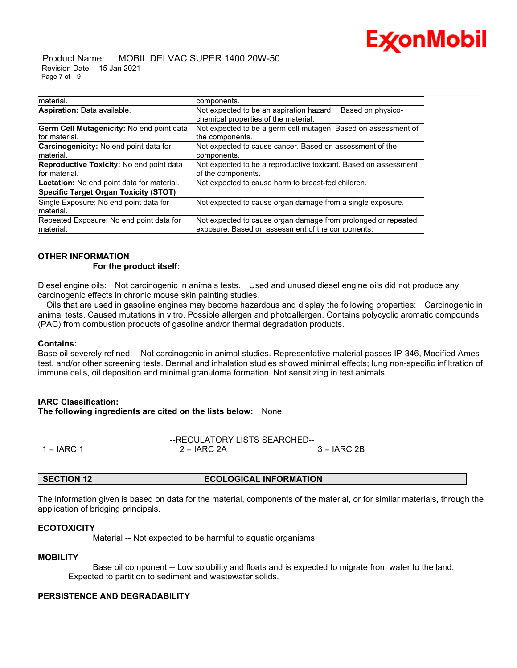

 Product Name: MOBIL DELVAC SUPER 1400 20W-50 Revision Date: 15 Jan 2021 Page 7 of 9

| material.                                    | components.                                                     |  |
|----------------------------------------------|-----------------------------------------------------------------|--|
| Aspiration: Data available.                  | Not expected to be an aspiration hazard.<br>Based on physico-   |  |
|                                              | chemical properties of the material.                            |  |
| Germ Cell Mutagenicity: No end point data    | Not expected to be a germ cell mutagen. Based on assessment of  |  |
| for material.                                | the components.                                                 |  |
| Carcinogenicity: No end point data for       | Not expected to cause cancer. Based on assessment of the        |  |
| material.                                    | components.                                                     |  |
| Reproductive Toxicity: No end point data     | Not expected to be a reproductive toxicant. Based on assessment |  |
| for material.                                | of the components.                                              |  |
| Lactation: No end point data for material.   | Not expected to cause harm to breast-fed children.              |  |
| <b>Specific Target Organ Toxicity (STOT)</b> |                                                                 |  |
| Single Exposure: No end point data for       | Not expected to cause organ damage from a single exposure.      |  |
| material.                                    |                                                                 |  |
| Repeated Exposure: No end point data for     | Not expected to cause organ damage from prolonged or repeated   |  |
| material.                                    | exposure. Based on assessment of the components.                |  |

\_\_\_\_\_\_\_\_\_\_\_\_\_\_\_\_\_\_\_\_\_\_\_\_\_\_\_\_\_\_\_\_\_\_\_\_\_\_\_\_\_\_\_\_\_\_\_\_\_\_\_\_\_\_\_\_\_\_\_\_\_\_\_\_\_\_\_\_\_\_\_\_\_\_\_\_\_\_\_\_\_\_\_\_\_\_\_\_\_\_\_\_\_\_\_\_\_\_\_\_\_\_\_\_\_\_\_\_\_\_\_\_\_\_\_\_\_\_

#### **OTHER INFORMATION For the product itself:**

Diesel engine oils: Not carcinogenic in animals tests. Used and unused diesel engine oils did not produce any carcinogenic effects in chronic mouse skin painting studies.

 Oils that are used in gasoline engines may become hazardous and display the following properties: Carcinogenic in animal tests. Caused mutations in vitro. Possible allergen and photoallergen. Contains polycyclic aromatic compounds (PAC) from combustion products of gasoline and/or thermal degradation products.

#### **Contains:**

Base oil severely refined: Not carcinogenic in animal studies. Representative material passes IP-346, Modified Ames test, and/or other screening tests. Dermal and inhalation studies showed minimal effects; lung non-specific infiltration of immune cells, oil deposition and minimal granuloma formation. Not sensitizing in test animals.

#### **IARC Classification:**

**The following ingredients are cited on the lists below:** None.

|              | --REGULATORY LISTS SEARCHED-- |              |
|--------------|-------------------------------|--------------|
| 1 = $IARC 1$ | $2 = IARC 2A$                 | $3 = IARC2B$ |

#### **SECTION 12 ECOLOGICAL INFORMATION**

The information given is based on data for the material, components of the material, or for similar materials, through the application of bridging principals.

#### **ECOTOXICITY**

Material -- Not expected to be harmful to aquatic organisms.

#### **MOBILITY**

 Base oil component -- Low solubility and floats and is expected to migrate from water to the land. Expected to partition to sediment and wastewater solids.

#### **PERSISTENCE AND DEGRADABILITY**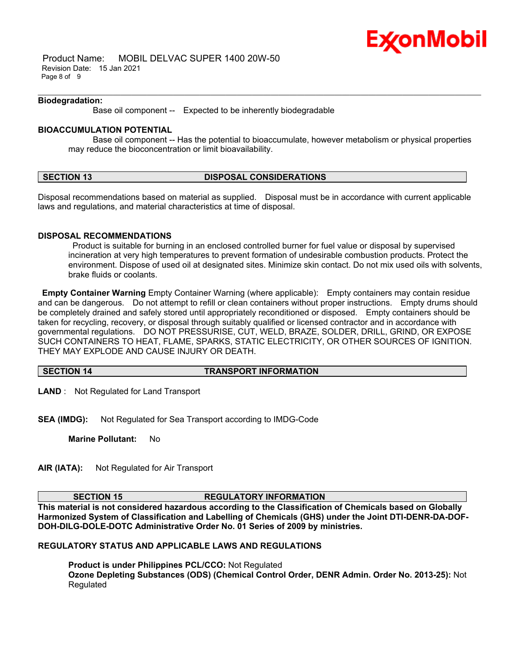

 Product Name: MOBIL DELVAC SUPER 1400 20W-50 Revision Date: 15 Jan 2021 Page 8 of 9

#### **Biodegradation:**

Base oil component -- Expected to be inherently biodegradable

### **BIOACCUMULATION POTENTIAL**

 Base oil component -- Has the potential to bioaccumulate, however metabolism or physical properties may reduce the bioconcentration or limit bioavailability.

\_\_\_\_\_\_\_\_\_\_\_\_\_\_\_\_\_\_\_\_\_\_\_\_\_\_\_\_\_\_\_\_\_\_\_\_\_\_\_\_\_\_\_\_\_\_\_\_\_\_\_\_\_\_\_\_\_\_\_\_\_\_\_\_\_\_\_\_\_\_\_\_\_\_\_\_\_\_\_\_\_\_\_\_\_\_\_\_\_\_\_\_\_\_\_\_\_\_\_\_\_\_\_\_\_\_\_\_\_\_\_\_\_\_\_\_\_\_

#### **SECTION 13 DISPOSAL CONSIDERATIONS**

Disposal recommendations based on material as supplied. Disposal must be in accordance with current applicable laws and regulations, and material characteristics at time of disposal.

#### **DISPOSAL RECOMMENDATIONS**

 Product is suitable for burning in an enclosed controlled burner for fuel value or disposal by supervised incineration at very high temperatures to prevent formation of undesirable combustion products. Protect the environment. Dispose of used oil at designated sites. Minimize skin contact. Do not mix used oils with solvents, brake fluids or coolants.

**Empty Container Warning** Empty Container Warning (where applicable): Empty containers may contain residue and can be dangerous. Do not attempt to refill or clean containers without proper instructions. Empty drums should be completely drained and safely stored until appropriately reconditioned or disposed. Empty containers should be taken for recycling, recovery, or disposal through suitably qualified or licensed contractor and in accordance with governmental regulations. DO NOT PRESSURISE, CUT, WELD, BRAZE, SOLDER, DRILL, GRIND, OR EXPOSE SUCH CONTAINERS TO HEAT, FLAME, SPARKS, STATIC ELECTRICITY, OR OTHER SOURCES OF IGNITION. THEY MAY EXPLODE AND CAUSE INJURY OR DEATH.

#### **SECTION 14 TRANSPORT INFORMATION**

**LAND** : Not Regulated for Land Transport

**SEA (IMDG):** Not Regulated for Sea Transport according to IMDG-Code

**Marine Pollutant:** No

**AIR (IATA):** Not Regulated for Air Transport

#### **SECTION 15 REGULATORY INFORMATION**

**This material is not considered hazardous according to the Classification of Chemicals based on Globally Harmonized System of Classification and Labelling of Chemicals (GHS) under the Joint DTI-DENR-DA-DOF-DOH-DILG-DOLE-DOTC Administrative Order No. 01 Series of 2009 by ministries.**

#### **REGULATORY STATUS AND APPLICABLE LAWS AND REGULATIONS**

**Product is under Philippines PCL/CCO:** Not Regulated **Ozone Depleting Substances (ODS) (Chemical Control Order, DENR Admin. Order No. 2013-25):** Not Regulated